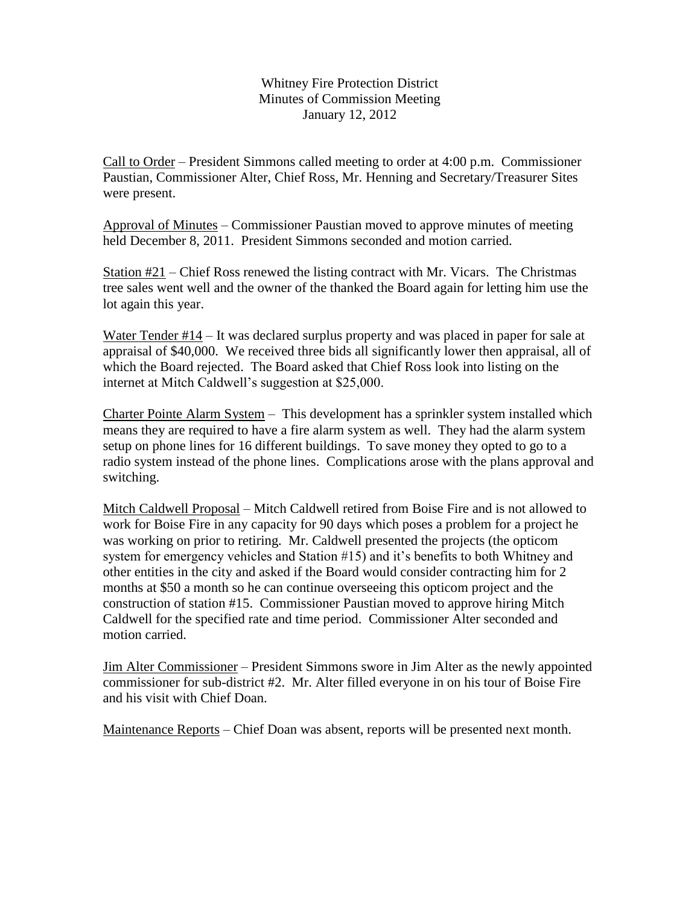Whitney Fire Protection District Minutes of Commission Meeting January 12, 2012

Call to Order – President Simmons called meeting to order at 4:00 p.m. Commissioner Paustian, Commissioner Alter, Chief Ross, Mr. Henning and Secretary/Treasurer Sites were present.

Approval of Minutes – Commissioner Paustian moved to approve minutes of meeting held December 8, 2011. President Simmons seconded and motion carried.

Station #21 – Chief Ross renewed the listing contract with Mr. Vicars. The Christmas tree sales went well and the owner of the thanked the Board again for letting him use the lot again this year.

Water Tender #14 – It was declared surplus property and was placed in paper for sale at appraisal of \$40,000. We received three bids all significantly lower then appraisal, all of which the Board rejected. The Board asked that Chief Ross look into listing on the internet at Mitch Caldwell's suggestion at \$25,000.

Charter Pointe Alarm System – This development has a sprinkler system installed which means they are required to have a fire alarm system as well. They had the alarm system setup on phone lines for 16 different buildings. To save money they opted to go to a radio system instead of the phone lines. Complications arose with the plans approval and switching.

Mitch Caldwell Proposal – Mitch Caldwell retired from Boise Fire and is not allowed to work for Boise Fire in any capacity for 90 days which poses a problem for a project he was working on prior to retiring. Mr. Caldwell presented the projects (the opticom system for emergency vehicles and Station #15) and it's benefits to both Whitney and other entities in the city and asked if the Board would consider contracting him for 2 months at \$50 a month so he can continue overseeing this opticom project and the construction of station #15. Commissioner Paustian moved to approve hiring Mitch Caldwell for the specified rate and time period. Commissioner Alter seconded and motion carried.

Jim Alter Commissioner – President Simmons swore in Jim Alter as the newly appointed commissioner for sub-district #2. Mr. Alter filled everyone in on his tour of Boise Fire and his visit with Chief Doan.

Maintenance Reports – Chief Doan was absent, reports will be presented next month.